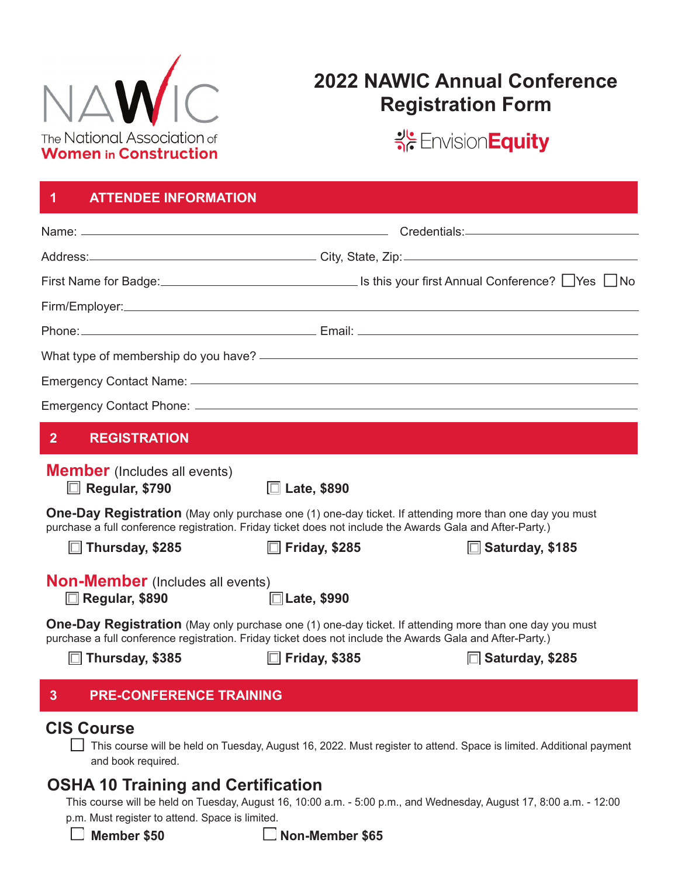

# **2022 NAWIC Annual Conference Registration Form**

SE Envision Equity

| <b>ATTENDEE INFORMATION</b><br>1                                                                                                                                                                                            |                       |                                                                                                                                                                                                                                |
|-----------------------------------------------------------------------------------------------------------------------------------------------------------------------------------------------------------------------------|-----------------------|--------------------------------------------------------------------------------------------------------------------------------------------------------------------------------------------------------------------------------|
|                                                                                                                                                                                                                             |                       |                                                                                                                                                                                                                                |
|                                                                                                                                                                                                                             |                       | Address: City, State, Zip: City, State, Zip:                                                                                                                                                                                   |
|                                                                                                                                                                                                                             |                       | First Name for Badge: 1990 in the settle settle settle settle settle settle settle settle settle set settle set                                                                                                                |
|                                                                                                                                                                                                                             |                       |                                                                                                                                                                                                                                |
|                                                                                                                                                                                                                             |                       | Phone: 2008 Contract Contract Contract Contract Contract Contract Contract Contract Contract Contract Contract Contract Contract Contract Contract Contract Contract Contract Contract Contract Contract Contract Contract Con |
|                                                                                                                                                                                                                             |                       |                                                                                                                                                                                                                                |
|                                                                                                                                                                                                                             |                       |                                                                                                                                                                                                                                |
|                                                                                                                                                                                                                             |                       |                                                                                                                                                                                                                                |
| 2 <sup>1</sup><br><b>REGISTRATION</b>                                                                                                                                                                                       |                       |                                                                                                                                                                                                                                |
| <b>Member</b> (Includes all events)<br>$\Box$ Regular, \$790<br><b>One-Day Registration</b> (May only purchase one (1) one-day ticket. If attending more than one day you must                                              | $\square$ Late, \$890 |                                                                                                                                                                                                                                |
| purchase a full conference registration. Friday ticket does not include the Awards Gala and After-Party.)<br>$\Box$ Thursday, \$285                                                                                         | $\Box$ Friday, \$285  | $\Box$ Saturday, \$185                                                                                                                                                                                                         |
| <b>Non-Member</b> (Includes all events)<br>□ Regular, \$890                                                                                                                                                                 | $\Box$ Late, \$990    |                                                                                                                                                                                                                                |
| <b>One-Day Registration</b> (May only purchase one (1) one-day ticket. If attending more than one day you must<br>purchase a full conference registration. Friday ticket does not include the Awards Gala and After-Party.) |                       |                                                                                                                                                                                                                                |
| Thursday, \$385                                                                                                                                                                                                             | $\Box$ Friday, \$385  | $\Box$ Saturday, \$285                                                                                                                                                                                                         |
| <b>PRE-CONFERENCE TRAINING</b><br>3                                                                                                                                                                                         |                       |                                                                                                                                                                                                                                |
| <b>CIS Course</b><br>and book required.                                                                                                                                                                                     |                       | This course will be held on Tuesday, August 16, 2022. Must register to attend. Space is limited. Additional payment                                                                                                            |
| <b>OSHA 10 Training and Certification</b>                                                                                                                                                                                   |                       |                                                                                                                                                                                                                                |

This course will be held on Tuesday, August 16, 10:00 a.m. - 5:00 p.m., and Wednesday, August 17, 8:00 a.m. - 12:00 p.m. Must register to attend. Space is limited.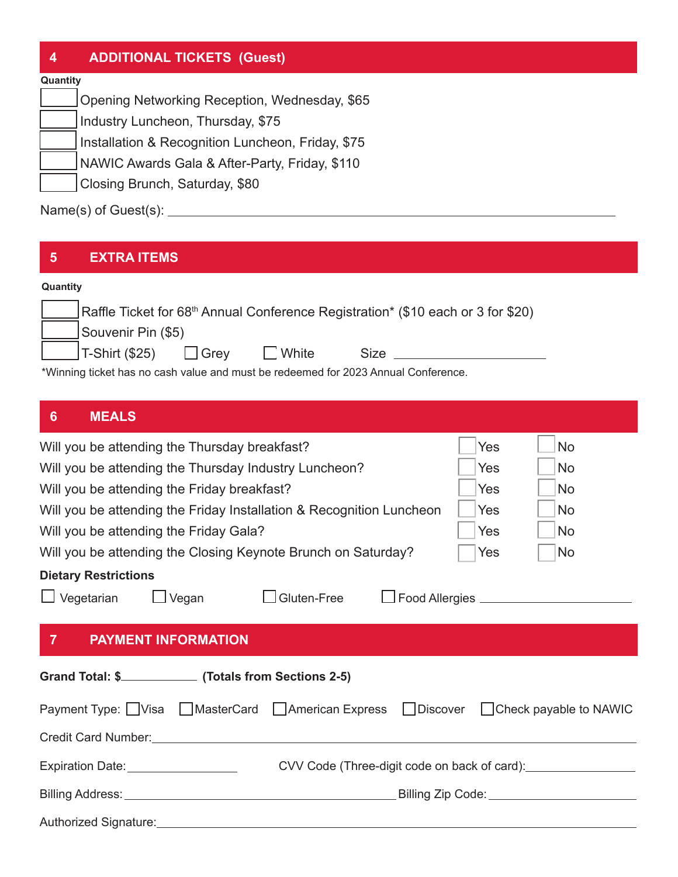### **4 ADDITIONAL TICKETS (Guest)**

#### **Quantity**

Opening Networking Reception, Wednesday, \$65

Industry Luncheon, Thursday, \$75

Installation & Recognition Luncheon, Friday, \$75

NAWIC Awards Gala & After-Party, Friday, \$110

Closing Brunch, Saturday, \$80

Name(s) of Guest(s):

#### **5 EXTRA ITEMS**

#### **Quantity**

|                                                                                     | Raffle Ticket for 68 <sup>th</sup> Annual Conference Registration* (\$10 each or 3 for \$20) |      |              |      |  |  |  |  |
|-------------------------------------------------------------------------------------|----------------------------------------------------------------------------------------------|------|--------------|------|--|--|--|--|
|                                                                                     | Souvenir Pin (\$5)                                                                           |      |              |      |  |  |  |  |
|                                                                                     | _lT-Shirt (\$25)                                                                             | Grev | $\Box$ White | Size |  |  |  |  |
| *\\{inpine tieled has no cook value and must be redeemed for 0000 Appuel Conference |                                                                                              |      |              |      |  |  |  |  |

\*Winning ticket has no cash value and must be redeemed for 2023 Annual Conference.

| $6\phantom{a}$<br><b>MEALS</b>                                                                                 |                                             |                                                                                  |  |     |                                                  |  |  |
|----------------------------------------------------------------------------------------------------------------|---------------------------------------------|----------------------------------------------------------------------------------|--|-----|--------------------------------------------------|--|--|
| Will you be attending the Thursday breakfast?                                                                  |                                             |                                                                                  |  | Yes | <b>No</b>                                        |  |  |
| Will you be attending the Thursday Industry Luncheon?                                                          |                                             |                                                                                  |  | Yes | <b>No</b>                                        |  |  |
| Will you be attending the Friday breakfast?                                                                    |                                             |                                                                                  |  | Yes | <b>No</b>                                        |  |  |
| Will you be attending the Friday Installation & Recognition Luncheon                                           |                                             |                                                                                  |  | Yes | <b>No</b>                                        |  |  |
| Will you be attending the Friday Gala?                                                                         |                                             |                                                                                  |  | Yes | <b>No</b>                                        |  |  |
| Will you be attending the Closing Keynote Brunch on Saturday?                                                  | Yes                                         | <b>No</b>                                                                        |  |     |                                                  |  |  |
| <b>Dietary Restrictions</b>                                                                                    |                                             |                                                                                  |  |     |                                                  |  |  |
| $\Box$ Vegetarian                                                                                              | $\Box$ Vegan                                | $\Box$ Gluten-Free                                                               |  |     | □ Food Allergies <u>________________________</u> |  |  |
| 7 <sup>7</sup><br><b>PAYMENT INFORMATION</b>                                                                   |                                             |                                                                                  |  |     |                                                  |  |  |
| Grand Total: \$________________(Totals from Sections 2-5)                                                      |                                             |                                                                                  |  |     |                                                  |  |  |
| Payment Type: □ Visa □ MasterCard □ American Express □ Discover □ Check payable to NAWIC                       |                                             |                                                                                  |  |     |                                                  |  |  |
|                                                                                                                |                                             |                                                                                  |  |     |                                                  |  |  |
| Expiration Date: __________________                                                                            |                                             | CVV Code (Three-digit code on back of card): ___________________________________ |  |     |                                                  |  |  |
|                                                                                                                | Billing Zip Code: _________________________ |                                                                                  |  |     |                                                  |  |  |
| Authorized Signature: Manual Content of Science Content of Science Content of Science Content of Science Conte |                                             |                                                                                  |  |     |                                                  |  |  |